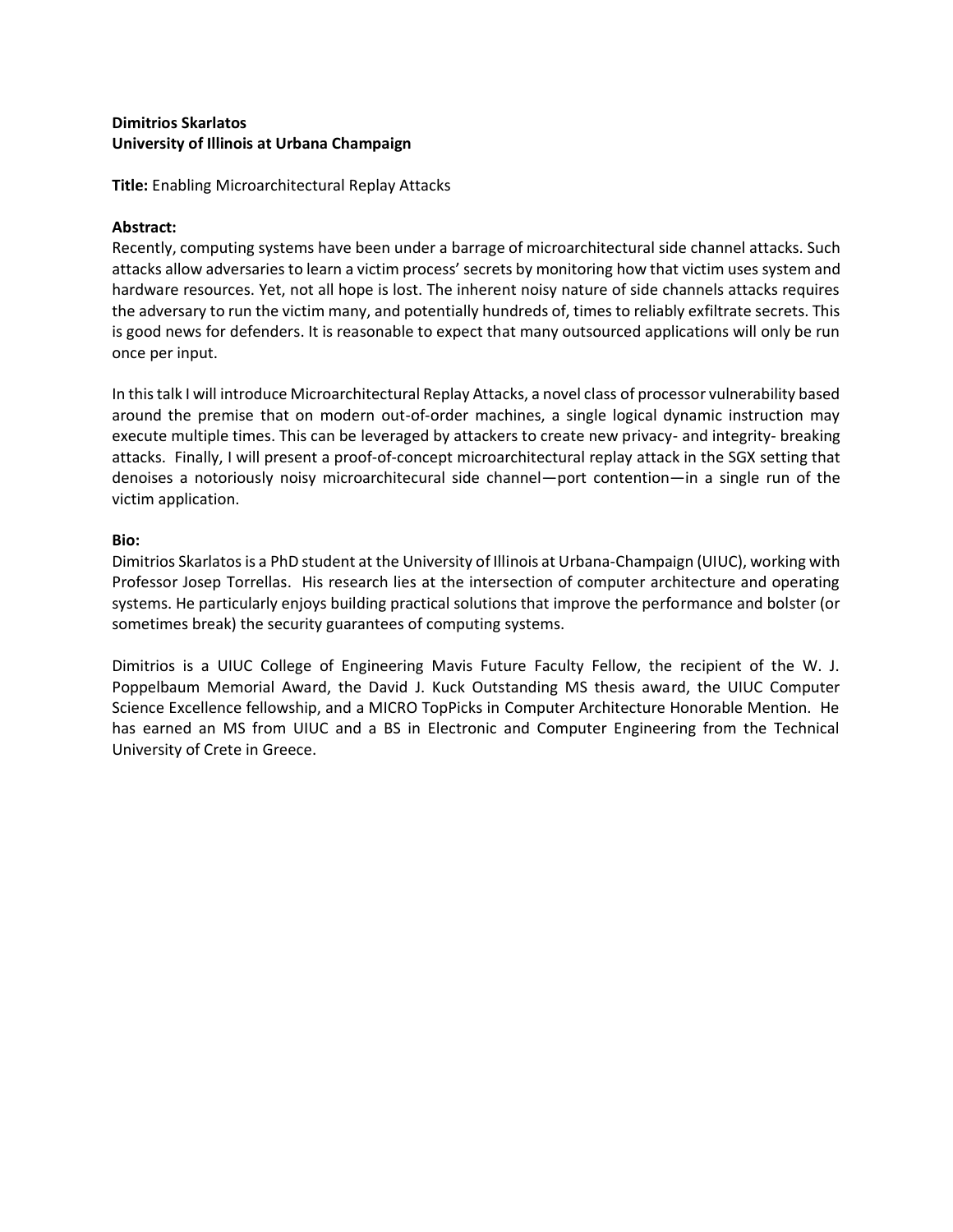# **Dimitrios Skarlatos University of Illinois at Urbana Champaign**

**Title:** Enabling Microarchitectural Replay Attacks

# **Abstract:**

Recently, computing systems have been under a barrage of microarchitectural side channel attacks. Such attacks allow adversaries to learn a victim process' secrets by monitoring how that victim uses system and hardware resources. Yet, not all hope is lost. The inherent noisy nature of side channels attacks requires the adversary to run the victim many, and potentially hundreds of, times to reliably exfiltrate secrets. This is good news for defenders. It is reasonable to expect that many outsourced applications will only be run once per input.

In this talk I will introduce Microarchitectural Replay Attacks, a novel class of processor vulnerability based around the premise that on modern out-of-order machines, a single logical dynamic instruction may execute multiple times. This can be leveraged by attackers to create new privacy- and integrity- breaking attacks. Finally, I will present a proof-of-concept microarchitectural replay attack in the SGX setting that denoises a notoriously noisy microarchitecural side channel—port contention—in a single run of the victim application.

## **Bio:**

Dimitrios Skarlatos is a PhD student at the University of Illinois at Urbana-Champaign (UIUC), working with Professor Josep Torrellas. His research lies at the intersection of computer architecture and operating systems. He particularly enjoys building practical solutions that improve the performance and bolster (or sometimes break) the security guarantees of computing systems.

Dimitrios is a UIUC College of Engineering Mavis Future Faculty Fellow, the recipient of the W. J. Poppelbaum Memorial Award, the David J. Kuck Outstanding MS thesis award, the UIUC Computer Science Excellence fellowship, and a MICRO TopPicks in Computer Architecture Honorable Mention. He has earned an MS from UIUC and a BS in Electronic and Computer Engineering from the Technical University of Crete in Greece.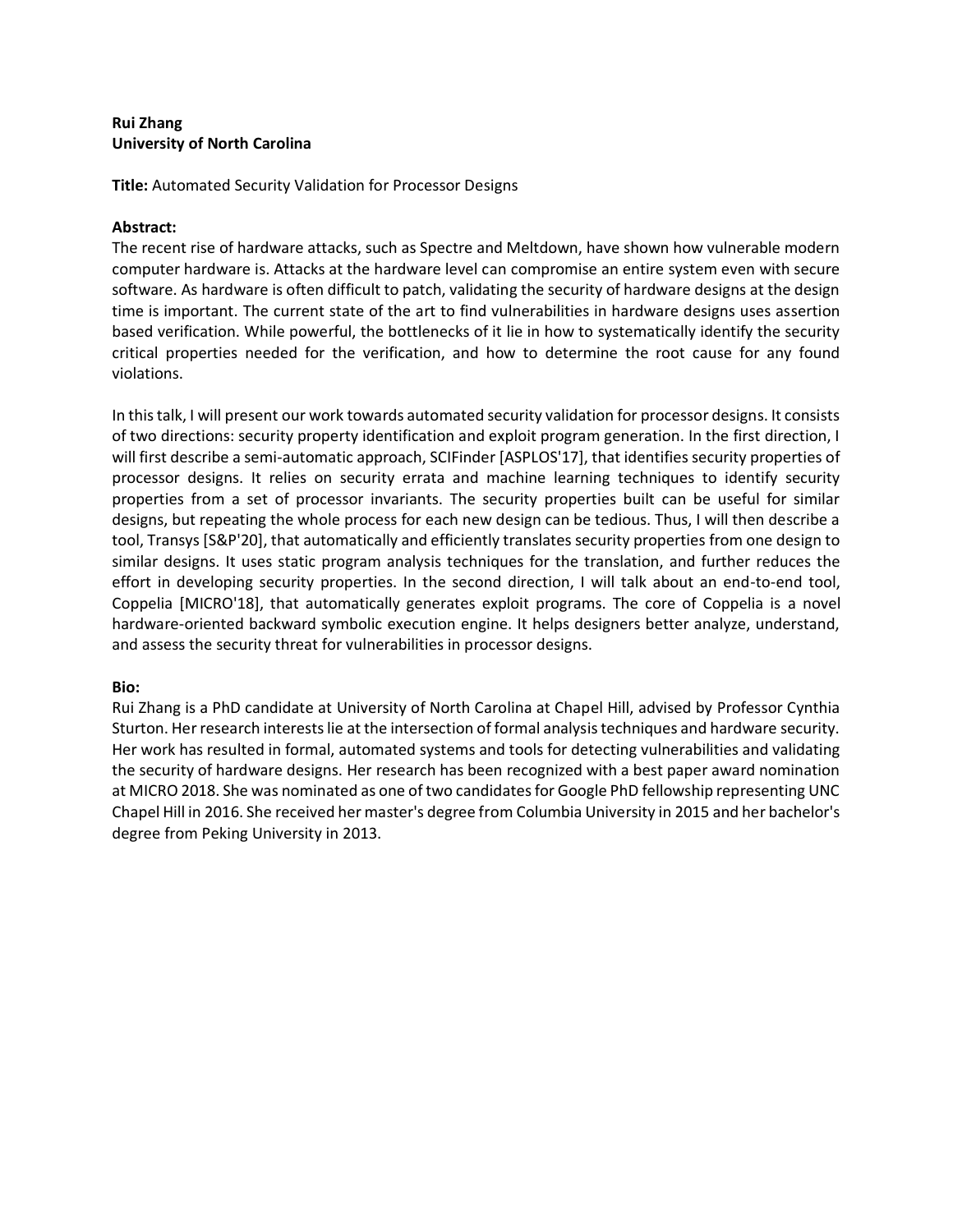# **Rui Zhang University of North Carolina**

**Title:** Automated Security Validation for Processor Designs

# **Abstract:**

The recent rise of hardware attacks, such as Spectre and Meltdown, have shown how vulnerable modern computer hardware is. Attacks at the hardware level can compromise an entire system even with secure software. As hardware is often difficult to patch, validating the security of hardware designs at the design time is important. The current state of the art to find vulnerabilities in hardware designs uses assertion based verification. While powerful, the bottlenecks of it lie in how to systematically identify the security critical properties needed for the verification, and how to determine the root cause for any found violations.

In this talk, I will present our work towards automated security validation for processor designs. It consists of two directions: security property identification and exploit program generation. In the first direction, I will first describe a semi-automatic approach, SCIFinder [ASPLOS'17], that identifies security properties of processor designs. It relies on security errata and machine learning techniques to identify security properties from a set of processor invariants. The security properties built can be useful for similar designs, but repeating the whole process for each new design can be tedious. Thus, I will then describe a tool, Transys [S&P'20], that automatically and efficiently translates security properties from one design to similar designs. It uses static program analysis techniques for the translation, and further reduces the effort in developing security properties. In the second direction, I will talk about an end-to-end tool, Coppelia [MICRO'18], that automatically generates exploit programs. The core of Coppelia is a novel hardware-oriented backward symbolic execution engine. It helps designers better analyze, understand, and assess the security threat for vulnerabilities in processor designs.

## **Bio:**

Rui Zhang is a PhD candidate at University of North Carolina at Chapel Hill, advised by Professor Cynthia Sturton. Her research interests lie at the intersection of formal analysis techniques and hardware security. Her work has resulted in formal, automated systems and tools for detecting vulnerabilities and validating the security of hardware designs. Her research has been recognized with a best paper award nomination at MICRO 2018. She was nominated as one of two candidates for Google PhD fellowship representing UNC Chapel Hill in 2016. She received her master's degree from Columbia University in 2015 and her bachelor's degree from Peking University in 2013.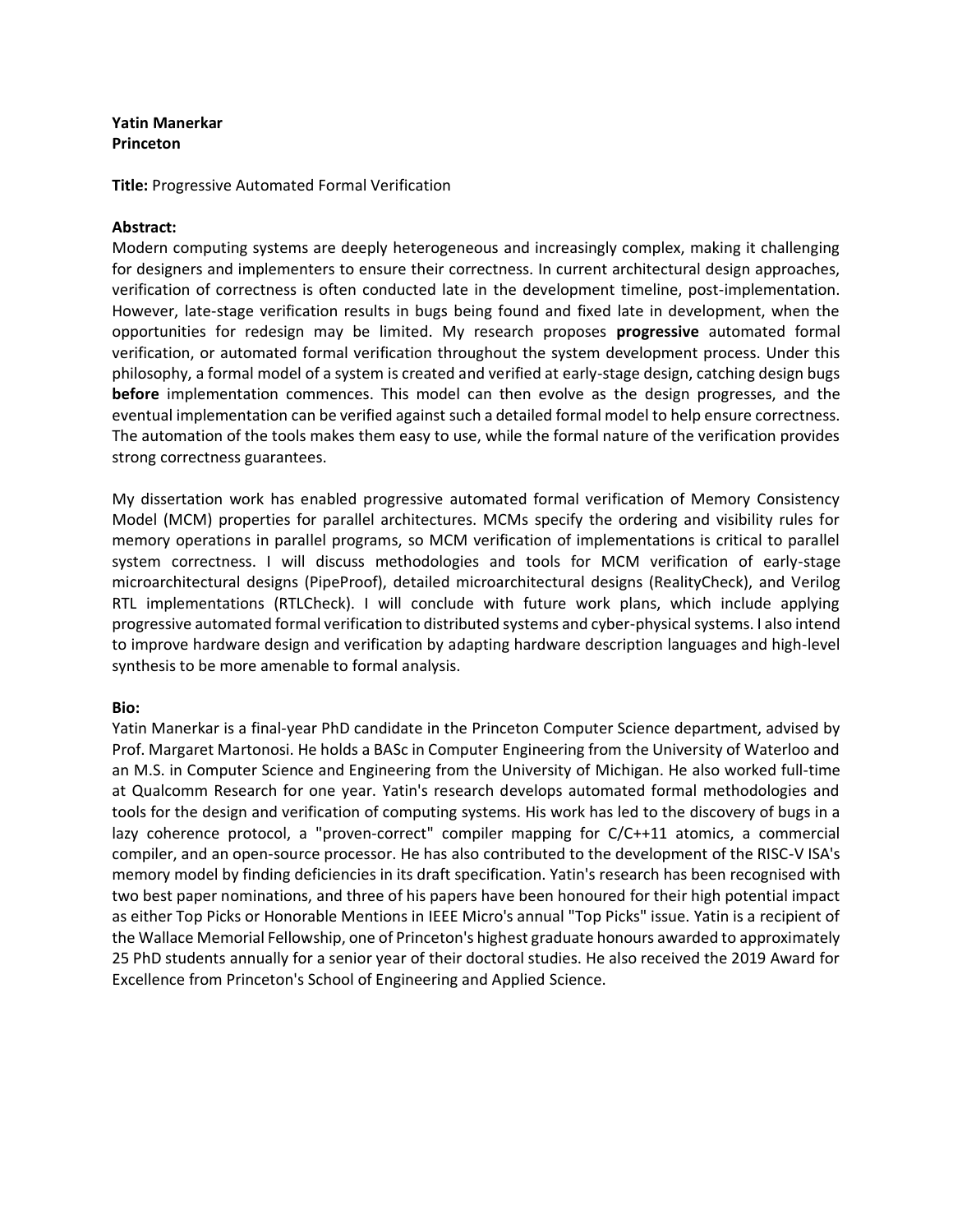# **Yatin Manerkar Princeton**

**Title:** Progressive Automated Formal Verification

#### **Abstract:**

Modern computing systems are deeply heterogeneous and increasingly complex, making it challenging for designers and implementers to ensure their correctness. In current architectural design approaches, verification of correctness is often conducted late in the development timeline, post-implementation. However, late-stage verification results in bugs being found and fixed late in development, when the opportunities for redesign may be limited. My research proposes **progressive** automated formal verification, or automated formal verification throughout the system development process. Under this philosophy, a formal model of a system is created and verified at early-stage design, catching design bugs **before** implementation commences. This model can then evolve as the design progresses, and the eventual implementation can be verified against such a detailed formal model to help ensure correctness. The automation of the tools makes them easy to use, while the formal nature of the verification provides strong correctness guarantees.

My dissertation work has enabled progressive automated formal verification of Memory Consistency Model (MCM) properties for parallel architectures. MCMs specify the ordering and visibility rules for memory operations in parallel programs, so MCM verification of implementations is critical to parallel system correctness. I will discuss methodologies and tools for MCM verification of early-stage microarchitectural designs (PipeProof), detailed microarchitectural designs (RealityCheck), and Verilog RTL implementations (RTLCheck). I will conclude with future work plans, which include applying progressive automated formal verification to distributed systems and cyber-physical systems. I also intend to improve hardware design and verification by adapting hardware description languages and high-level synthesis to be more amenable to formal analysis.

#### **Bio:**

Yatin Manerkar is a final-year PhD candidate in the Princeton Computer Science department, advised by Prof. Margaret Martonosi. He holds a BASc in Computer Engineering from the University of Waterloo and an M.S. in Computer Science and Engineering from the University of Michigan. He also worked full-time at Qualcomm Research for one year. Yatin's research develops automated formal methodologies and tools for the design and verification of computing systems. His work has led to the discovery of bugs in a lazy coherence protocol, a "proven-correct" compiler mapping for C/C++11 atomics, a commercial compiler, and an open-source processor. He has also contributed to the development of the RISC-V ISA's memory model by finding deficiencies in its draft specification. Yatin's research has been recognised with two best paper nominations, and three of his papers have been honoured for their high potential impact as either Top Picks or Honorable Mentions in IEEE Micro's annual "Top Picks" issue. Yatin is a recipient of the Wallace Memorial Fellowship, one of Princeton's highest graduate honours awarded to approximately 25 PhD students annually for a senior year of their doctoral studies. He also received the 2019 Award for Excellence from Princeton's School of Engineering and Applied Science.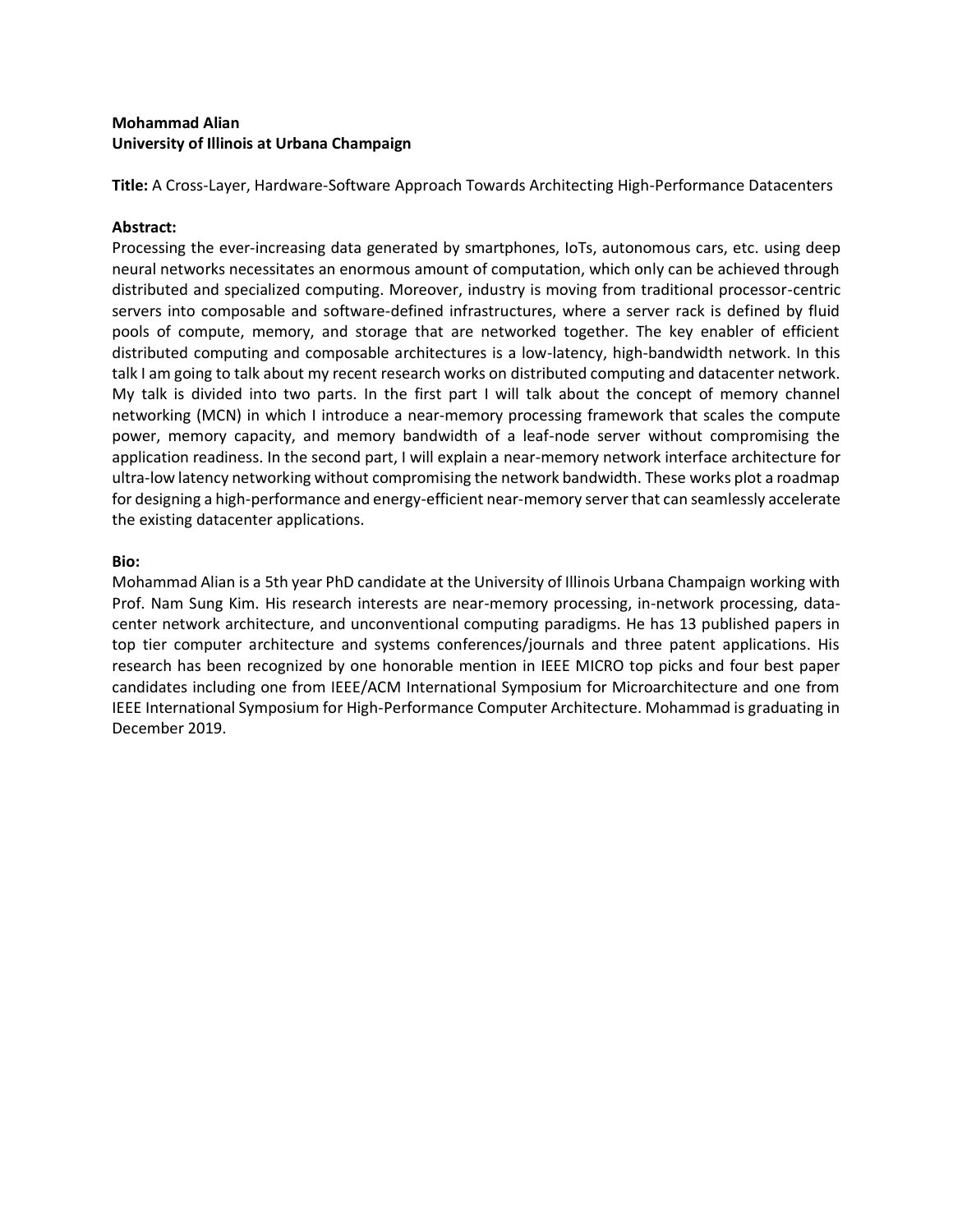# **Mohammad Alian University of Illinois at Urbana Champaign**

**Title:** A Cross-Layer, Hardware-Software Approach Towards Architecting High-Performance Datacenters

## **Abstract:**

Processing the ever-increasing data generated by smartphones, IoTs, autonomous cars, etc. using deep neural networks necessitates an enormous amount of computation, which only can be achieved through distributed and specialized computing. Moreover, industry is moving from traditional processor-centric servers into composable and software-defined infrastructures, where a server rack is defined by fluid pools of compute, memory, and storage that are networked together. The key enabler of efficient distributed computing and composable architectures is a low-latency, high-bandwidth network. In this talk I am going to talk about my recent research works on distributed computing and datacenter network. My talk is divided into two parts. In the first part I will talk about the concept of memory channel networking (MCN) in which I introduce a near-memory processing framework that scales the compute power, memory capacity, and memory bandwidth of a leaf-node server without compromising the application readiness. In the second part, I will explain a near-memory network interface architecture for ultra-low latency networking without compromising the network bandwidth. These works plot a roadmap for designing a high-performance and energy-efficient near-memory server that can seamlessly accelerate the existing datacenter applications.

## **Bio:**

Mohammad Alian is a 5th year PhD candidate at the University of Illinois Urbana Champaign working with Prof. Nam Sung Kim. His research interests are near-memory processing, in-network processing, datacenter network architecture, and unconventional computing paradigms. He has 13 published papers in top tier computer architecture and systems conferences/journals and three patent applications. His research has been recognized by one honorable mention in IEEE MICRO top picks and four best paper candidates including one from IEEE/ACM International Symposium for Microarchitecture and one from IEEE International Symposium for High-Performance Computer Architecture. Mohammad is graduating in December 2019.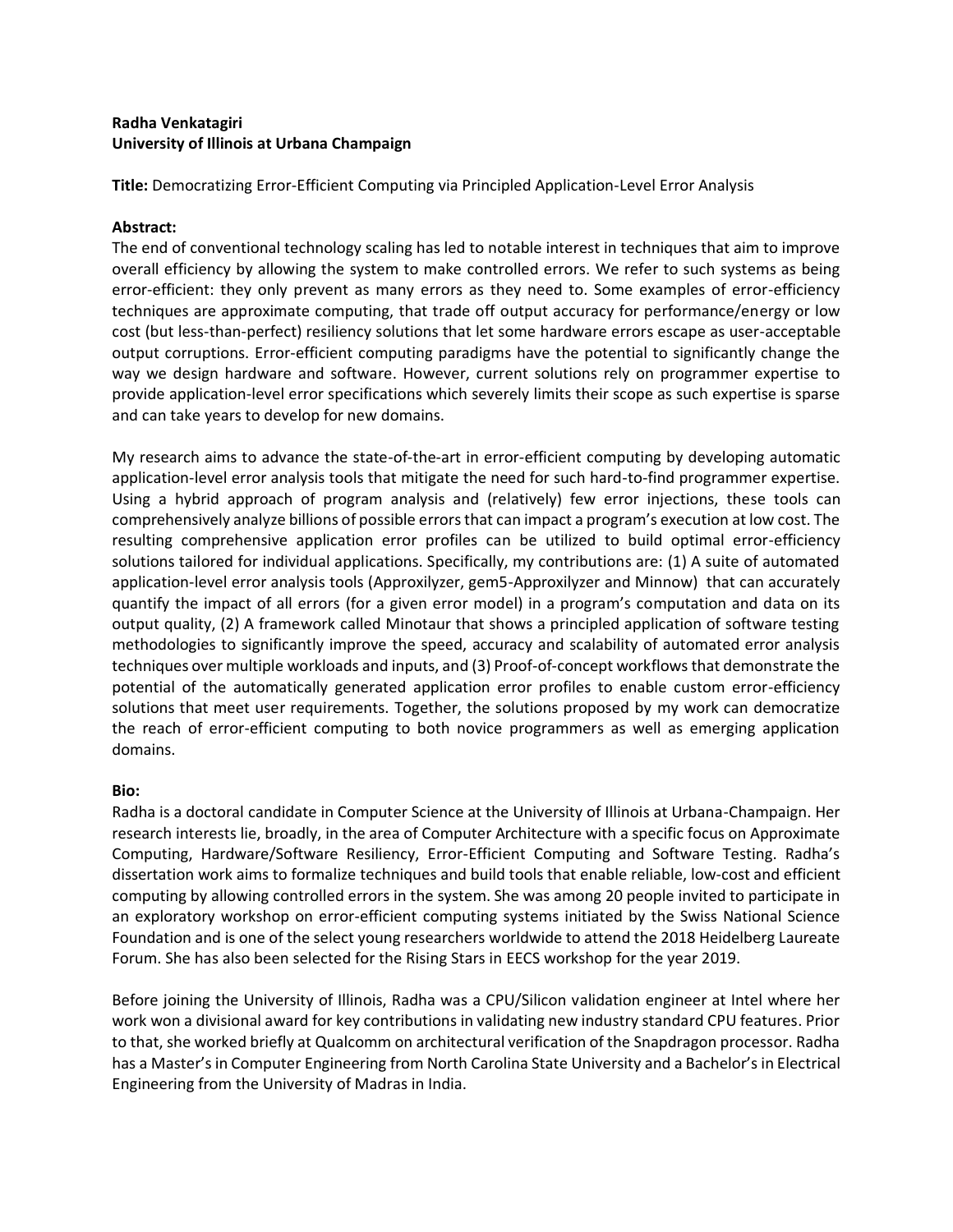# **Radha Venkatagiri University of Illinois at Urbana Champaign**

**Title:** Democratizing Error-Efficient Computing via Principled Application-Level Error Analysis

# **Abstract:**

The end of conventional technology scaling has led to notable interest in techniques that aim to improve overall efficiency by allowing the system to make controlled errors. We refer to such systems as being error-efficient: they only prevent as many errors as they need to. Some examples of error-efficiency techniques are approximate computing, that trade off output accuracy for performance/energy or low cost (but less-than-perfect) resiliency solutions that let some hardware errors escape as user-acceptable output corruptions. Error-efficient computing paradigms have the potential to significantly change the way we design hardware and software. However, current solutions rely on programmer expertise to provide application-level error specifications which severely limits their scope as such expertise is sparse and can take years to develop for new domains.

My research aims to advance the state-of-the-art in error-efficient computing by developing automatic application-level error analysis tools that mitigate the need for such hard-to-find programmer expertise. Using a hybrid approach of program analysis and (relatively) few error injections, these tools can comprehensively analyze billions of possible errors that can impact a program's execution at low cost. The resulting comprehensive application error profiles can be utilized to build optimal error-efficiency solutions tailored for individual applications. Specifically, my contributions are: (1) A suite of automated application-level error analysis tools (Approxilyzer, gem5-Approxilyzer and Minnow) that can accurately quantify the impact of all errors (for a given error model) in a program's computation and data on its output quality, (2) A framework called Minotaur that shows a principled application of software testing methodologies to significantly improve the speed, accuracy and scalability of automated error analysis techniques over multiple workloads and inputs, and (3) Proof-of-concept workflows that demonstrate the potential of the automatically generated application error profiles to enable custom error-efficiency solutions that meet user requirements. Together, the solutions proposed by my work can democratize the reach of error-efficient computing to both novice programmers as well as emerging application domains.

## **Bio:**

Radha is a doctoral candidate in Computer Science at the University of Illinois at Urbana-Champaign. Her research interests lie, broadly, in the area of Computer Architecture with a specific focus on Approximate Computing, Hardware/Software Resiliency, Error-Efficient Computing and Software Testing. Radha's dissertation work aims to formalize techniques and build tools that enable reliable, low-cost and efficient computing by allowing controlled errors in the system. She was among 20 people invited to participate in an exploratory workshop on error-efficient computing systems initiated by the Swiss National Science Foundation and is one of the select young researchers worldwide to attend the 2018 Heidelberg Laureate Forum. She has also been selected for the Rising Stars in EECS workshop for the year 2019.

Before joining the University of Illinois, Radha was a CPU/Silicon validation engineer at Intel where her work won a divisional award for key contributions in validating new industry standard CPU features. Prior to that, she worked briefly at Qualcomm on architectural verification of the Snapdragon processor. Radha has a Master's in Computer Engineering from North Carolina State University and a Bachelor's in Electrical Engineering from the University of Madras in India.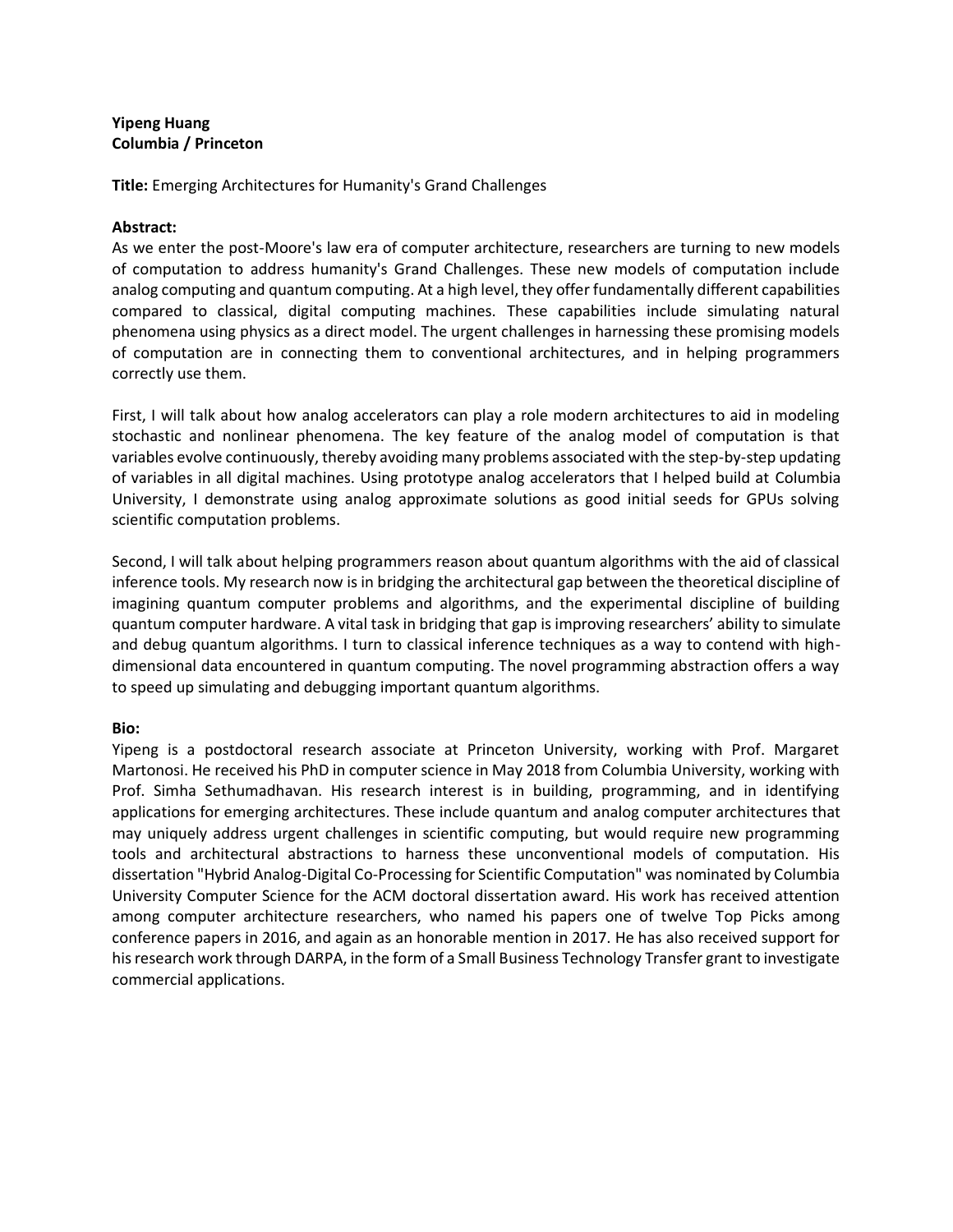## **Yipeng Huang Columbia / Princeton**

**Title:** Emerging Architectures for Humanity's Grand Challenges

# **Abstract:**

As we enter the post-Moore's law era of computer architecture, researchers are turning to new models of computation to address humanity's Grand Challenges. These new models of computation include analog computing and quantum computing. At a high level, they offer fundamentally different capabilities compared to classical, digital computing machines. These capabilities include simulating natural phenomena using physics as a direct model. The urgent challenges in harnessing these promising models of computation are in connecting them to conventional architectures, and in helping programmers correctly use them.

First, I will talk about how analog accelerators can play a role modern architectures to aid in modeling stochastic and nonlinear phenomena. The key feature of the analog model of computation is that variables evolve continuously, thereby avoiding many problems associated with the step-by-step updating of variables in all digital machines. Using prototype analog accelerators that I helped build at Columbia University, I demonstrate using analog approximate solutions as good initial seeds for GPUs solving scientific computation problems.

Second, I will talk about helping programmers reason about quantum algorithms with the aid of classical inference tools. My research now is in bridging the architectural gap between the theoretical discipline of imagining quantum computer problems and algorithms, and the experimental discipline of building quantum computer hardware. A vital task in bridging that gap is improving researchers' ability to simulate and debug quantum algorithms. I turn to classical inference techniques as a way to contend with highdimensional data encountered in quantum computing. The novel programming abstraction offers a way to speed up simulating and debugging important quantum algorithms.

## **Bio:**

Yipeng is a postdoctoral research associate at Princeton University, working with Prof. Margaret Martonosi. He received his PhD in computer science in May 2018 from Columbia University, working with Prof. Simha Sethumadhavan. His research interest is in building, programming, and in identifying applications for emerging architectures. These include quantum and analog computer architectures that may uniquely address urgent challenges in scientific computing, but would require new programming tools and architectural abstractions to harness these unconventional models of computation. His dissertation "Hybrid Analog-Digital Co-Processing for Scientific Computation" was nominated by Columbia University Computer Science for the ACM doctoral dissertation award. His work has received attention among computer architecture researchers, who named his papers one of twelve Top Picks among conference papers in 2016, and again as an honorable mention in 2017. He has also received support for his research work through DARPA, in the form of a Small Business Technology Transfer grant to investigate commercial applications.